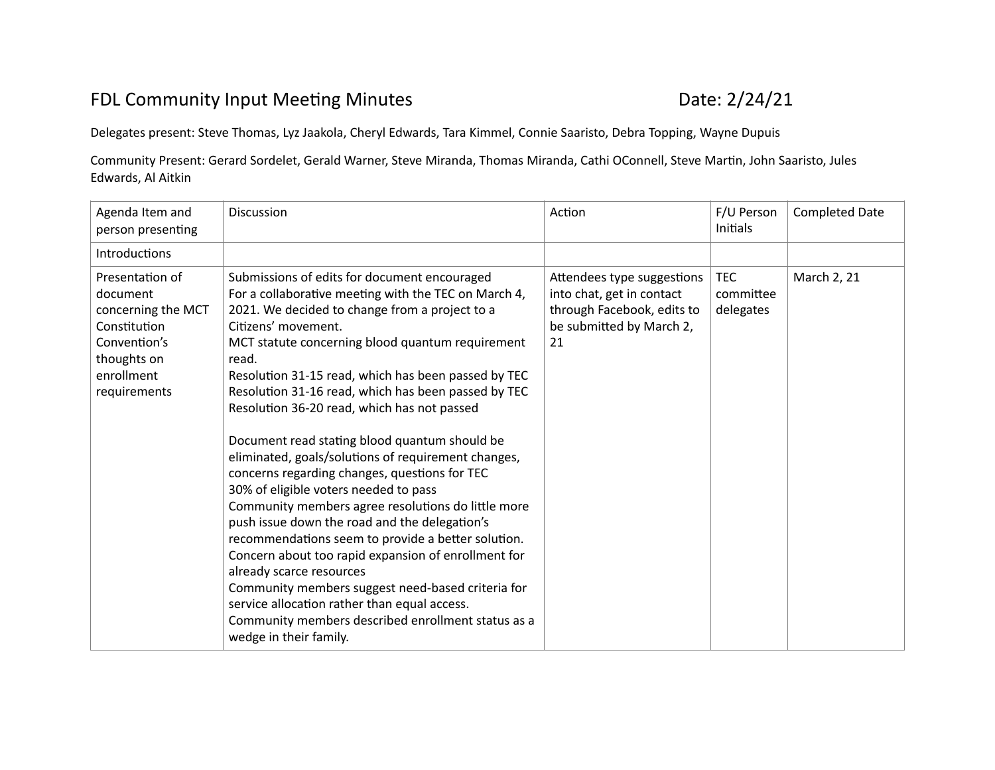## FDL Community Input Meeting Minutes **EXAM** 2008 224/21

Delegates present: Steve Thomas, Lyz Jaakola, Cheryl Edwards, Tara Kimmel, Connie Saaristo, Debra Topping, Wayne Dupuis

Community Present: Gerard Sordelet, Gerald Warner, Steve Miranda, Thomas Miranda, Cathi OConnell, Steve Martin, John Saaristo, Jules Edwards, Al Aitkin

| Agenda Item and<br>person presenting                                                                                           | Discussion                                                                                                                                                                                                                                                                                                                                                                                                                                                                                                                                                                                                                                                                                                                                                                                                                                                                                                                                                                                                                                     | Action                                                                                                                  | F/U Person<br>Initials               | <b>Completed Date</b> |
|--------------------------------------------------------------------------------------------------------------------------------|------------------------------------------------------------------------------------------------------------------------------------------------------------------------------------------------------------------------------------------------------------------------------------------------------------------------------------------------------------------------------------------------------------------------------------------------------------------------------------------------------------------------------------------------------------------------------------------------------------------------------------------------------------------------------------------------------------------------------------------------------------------------------------------------------------------------------------------------------------------------------------------------------------------------------------------------------------------------------------------------------------------------------------------------|-------------------------------------------------------------------------------------------------------------------------|--------------------------------------|-----------------------|
| Introductions                                                                                                                  |                                                                                                                                                                                                                                                                                                                                                                                                                                                                                                                                                                                                                                                                                                                                                                                                                                                                                                                                                                                                                                                |                                                                                                                         |                                      |                       |
| Presentation of<br>document<br>concerning the MCT<br>Constitution<br>Convention's<br>thoughts on<br>enrollment<br>requirements | Submissions of edits for document encouraged<br>For a collaborative meeting with the TEC on March 4,<br>2021. We decided to change from a project to a<br>Citizens' movement.<br>MCT statute concerning blood quantum requirement<br>read.<br>Resolution 31-15 read, which has been passed by TEC<br>Resolution 31-16 read, which has been passed by TEC<br>Resolution 36-20 read, which has not passed<br>Document read stating blood quantum should be<br>eliminated, goals/solutions of requirement changes,<br>concerns regarding changes, questions for TEC<br>30% of eligible voters needed to pass<br>Community members agree resolutions do little more<br>push issue down the road and the delegation's<br>recommendations seem to provide a better solution.<br>Concern about too rapid expansion of enrollment for<br>already scarce resources<br>Community members suggest need-based criteria for<br>service allocation rather than equal access.<br>Community members described enrollment status as a<br>wedge in their family. | Attendees type suggestions<br>into chat, get in contact<br>through Facebook, edits to<br>be submitted by March 2,<br>21 | <b>TEC</b><br>committee<br>delegates | March 2, 21           |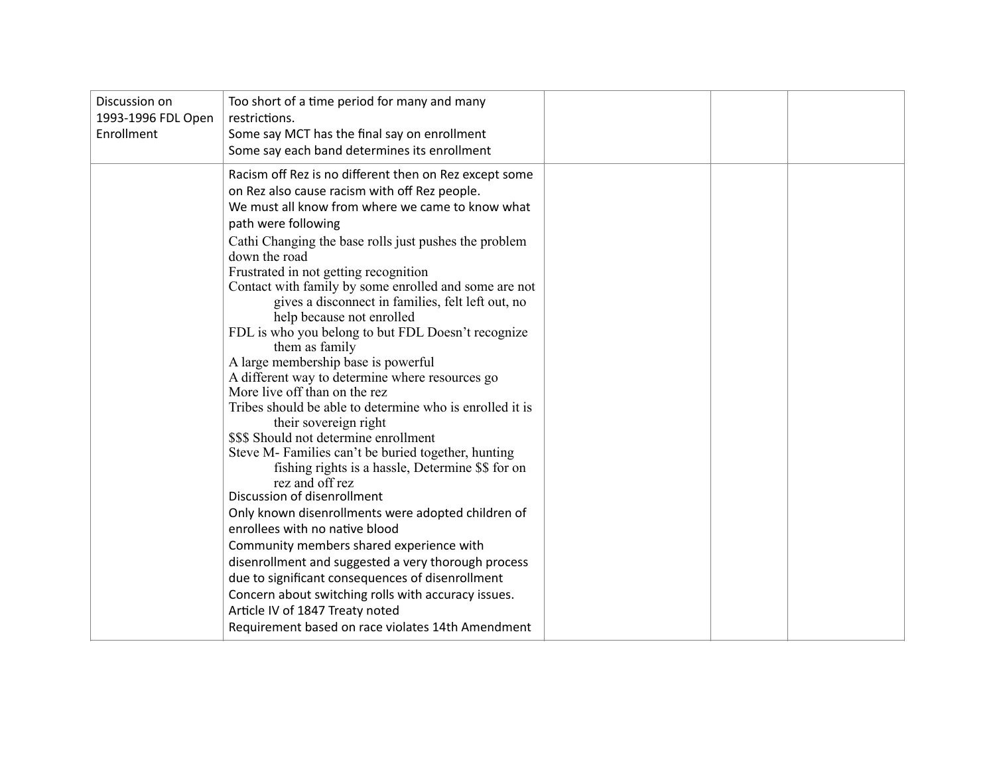| Too short of a time period for many and many<br>Discussion on<br>1993-1996 FDL Open<br>restrictions.<br>Enrollment<br>Some say MCT has the final say on enrollment<br>Some say each band determines its enrollment                                                                                                                                                                                                                                                                                                                                                                                                                                                                                                                                                                                                                                                                                                                                                                                                                                                                                                                                                                                                                                                                                                                             |  |
|------------------------------------------------------------------------------------------------------------------------------------------------------------------------------------------------------------------------------------------------------------------------------------------------------------------------------------------------------------------------------------------------------------------------------------------------------------------------------------------------------------------------------------------------------------------------------------------------------------------------------------------------------------------------------------------------------------------------------------------------------------------------------------------------------------------------------------------------------------------------------------------------------------------------------------------------------------------------------------------------------------------------------------------------------------------------------------------------------------------------------------------------------------------------------------------------------------------------------------------------------------------------------------------------------------------------------------------------|--|
| Racism off Rez is no different then on Rez except some<br>on Rez also cause racism with off Rez people.<br>We must all know from where we came to know what<br>path were following<br>Cathi Changing the base rolls just pushes the problem<br>down the road<br>Frustrated in not getting recognition<br>Contact with family by some enrolled and some are not<br>gives a disconnect in families, felt left out, no<br>help because not enrolled<br>FDL is who you belong to but FDL Doesn't recognize<br>them as family<br>A large membership base is powerful<br>A different way to determine where resources go<br>More live off than on the rez<br>Tribes should be able to determine who is enrolled it is<br>their sovereign right<br>\$\$\$ Should not determine enrollment<br>Steve M- Families can't be buried together, hunting<br>fishing rights is a hassle, Determine \$\$ for on<br>rez and off rez<br>Discussion of disenrollment<br>Only known disenrollments were adopted children of<br>enrollees with no native blood<br>Community members shared experience with<br>disenrollment and suggested a very thorough process<br>due to significant consequences of disenrollment<br>Concern about switching rolls with accuracy issues.<br>Article IV of 1847 Treaty noted<br>Requirement based on race violates 14th Amendment |  |